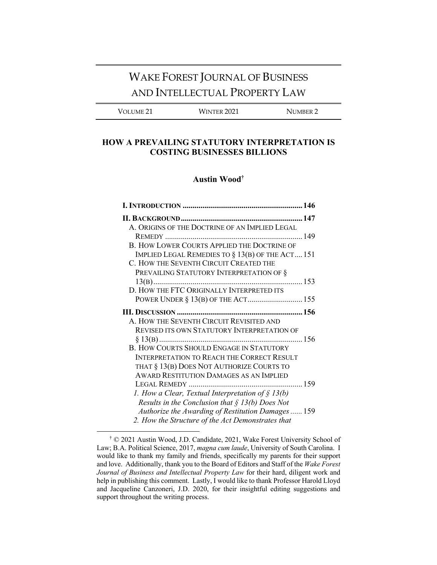# WAKE FOREST JOURNAL OF BUSINESS AND INTELLECTUAL PROPERTY LAW

VOLUME 21 WINTER 2021 NUMBER 2

### **HOW A PREVAILING STATUTORY INTERPRETATION IS COSTING BUSINESSES BILLIONS**

#### **Austin Wood†**

| A. ORIGINS OF THE DOCTRINE OF AN IMPLIED LEGAL       |
|------------------------------------------------------|
|                                                      |
| <b>B. HOW LOWER COURTS APPLIED THE DOCTRINE OF</b>   |
| IMPLIED LEGAL REMEDIES TO § 13(B) OF THE ACT 151     |
| C. HOW THE SEVENTH CIRCUIT CREATED THE               |
| PREVAILING STATUTORY INTERPRETATION OF §             |
| 153<br>$13(B)$                                       |
| D. HOW THE FTC ORIGINALLY INTERPRETED ITS            |
|                                                      |
|                                                      |
| A. HOW THE SEVENTH CIRCUIT REVISITED AND             |
| <b>REVISED ITS OWN STATUTORY INTERPRETATION OF</b>   |
|                                                      |
| <b>B. HOW COURTS SHOULD ENGAGE IN STATUTORY</b>      |
| <b>INTERPRETATION TO REACH THE CORRECT RESULT</b>    |
| THAT § 13(B) DOES NOT AUTHORIZE COURTS TO            |
| <b>AWARD RESTITUTION DAMAGES AS AN IMPLIED</b>       |
|                                                      |
| 1. How a Clear, Textual Interpretation of $\S$ 13(b) |
| Results in the Conclusion that $\S$ 13(b) Does Not   |
| Authorize the Awarding of Restitution Damages  159   |
| 2. How the Structure of the Act Demonstrates that    |

<sup>†</sup> © 2021 Austin Wood, J.D. Candidate, 2021, Wake Forest University School of Law; B.A. Political Science, 2017, *magna cum laude*, University of South Carolina. I would like to thank my family and friends, specifically my parents for their support and love. Additionally, thank you to the Board of Editors and Staff of the *Wake Forest Journal of Business and Intellectual Property Law* for their hard, diligent work and help in publishing this comment. Lastly, I would like to thank Professor Harold Lloyd and Jacqueline Canzoneri, J.D. 2020, for their insightful editing suggestions and support throughout the writing process.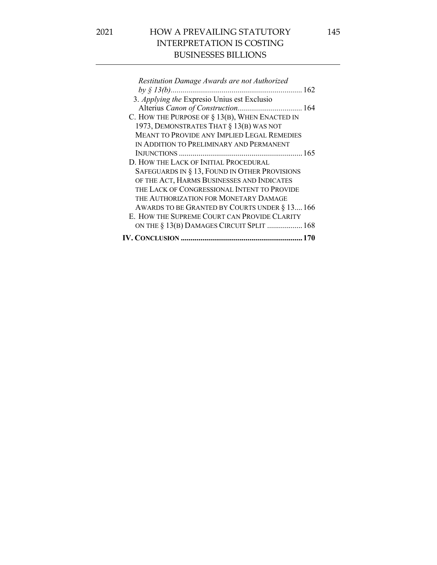| Restitution Damage Awards are not Authorized       |
|----------------------------------------------------|
|                                                    |
| 3. Applying the Expresio Unius est Exclusio        |
|                                                    |
| C. HOW THE PURPOSE OF § 13(B), WHEN ENACTED IN     |
| 1973, DEMONSTRATES THAT § 13(B) WAS NOT            |
| <b>MEANT TO PROVIDE ANY IMPLIED LEGAL REMEDIES</b> |
| IN ADDITION TO PRELIMINARY AND PERMANENT           |
|                                                    |
| D. HOW THE LACK OF INITIAL PROCEDURAL              |
| SAFEGUARDS IN § 13, FOUND IN OTHER PROVISIONS      |
| OF THE ACT, HARMS BUSINESSES AND INDICATES         |
| THE LACK OF CONGRESSIONAL INTENT TO PROVIDE        |
| THE AUTHORIZATION FOR MONETARY DAMAGE              |
| AWARDS TO BE GRANTED BY COURTS UNDER § 13 166      |
| E. HOW THE SUPREME COURT CAN PROVIDE CLARITY       |
| ON THE § 13(B) DAMAGES CIRCUIT SPLIT  168          |
|                                                    |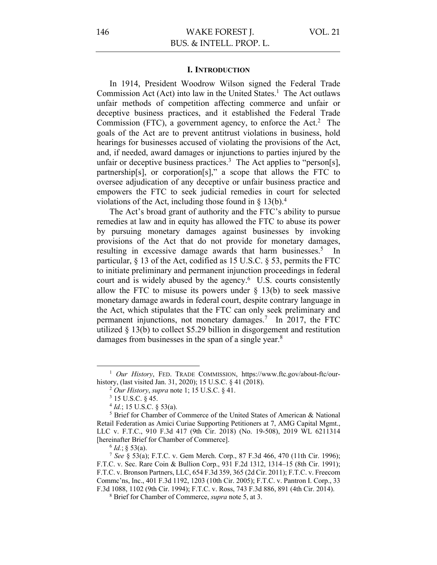#### **I. INTRODUCTION**

In 1914, President Woodrow Wilson signed the Federal Trade Commission Act (Act) into law in the United States.<sup>1</sup> The Act outlaws unfair methods of competition affecting commerce and unfair or deceptive business practices, and it established the Federal Trade Commission (FTC), a government agency, to enforce the Act.<sup>2</sup> The goals of the Act are to prevent antitrust violations in business, hold hearings for businesses accused of violating the provisions of the Act, and, if needed, award damages or injunctions to parties injured by the unfair or deceptive business practices.<sup>3</sup> The Act applies to "person[s], partnership[s], or corporation[s]," a scope that allows the FTC to oversee adjudication of any deceptive or unfair business practice and empowers the FTC to seek judicial remedies in court for selected violations of the Act, including those found in  $\S 13(b)$ .<sup>4</sup>

The Act's broad grant of authority and the FTC's ability to pursue remedies at law and in equity has allowed the FTC to abuse its power by pursuing monetary damages against businesses by invoking provisions of the Act that do not provide for monetary damages, resulting in excessive damage awards that harm businesses.<sup>5</sup> In particular, § 13 of the Act, codified as 15 U.S.C. § 53, permits the FTC to initiate preliminary and permanent injunction proceedings in federal court and is widely abused by the agency.<sup>6</sup> U.S. courts consistently allow the FTC to misuse its powers under  $\S$  13(b) to seek massive monetary damage awards in federal court, despite contrary language in the Act, which stipulates that the FTC can only seek preliminary and permanent injunctions, not monetary damages.7 In 2017, the FTC utilized § 13(b) to collect \$5.29 billion in disgorgement and restitution damages from businesses in the span of a single year.<sup>8</sup>

<sup>&</sup>lt;sup>1</sup> *Our History*, FED. TRADE COMMISSION, https://www.ftc.gov/about-ftc/ourhistory, (last visited Jan. 31, 2020); 15 U.S.C. § 41 (2018).

<sup>2</sup> *Our History*, *supra* note 1; 15 U.S.C. § 41.

<sup>3</sup> 15 U.S.C. § 45.

<sup>4</sup> *Id.*; 15 U.S.C. § 53(a).

<sup>5</sup> Brief for Chamber of Commerce of the United States of American & National Retail Federation as Amici Curiae Supporting Petitioners at 7, AMG Capital Mgmt., LLC v. F.T.C., 910 F.3d 417 (9th Cir. 2018) (No. 19-508), 2019 WL 6211314 [hereinafter Brief for Chamber of Commerce].

 $^{6}$  *Id.*; § 53(a).

<sup>7</sup> *See* § 53(a); F.T.C. v. Gem Merch. Corp., 87 F.3d 466, 470 (11th Cir. 1996); F.T.C. v. Sec. Rare Coin & Bullion Corp., 931 F.2d 1312, 1314–15 (8th Cir. 1991); F.T.C. v. Bronson Partners, LLC, 654 F.3d 359, 365 (2d Cir. 2011); F.T.C. v. Freecom Commc'ns, Inc., 401 F.3d 1192, 1203 (10th Cir. 2005); F.T.C. v. Pantron I. Corp., 33 F.3d 1088, 1102 (9th Cir. 1994); F.T.C. v. Ross, 743 F.3d 886, 891 (4th Cir. 2014).

<sup>8</sup> Brief for Chamber of Commerce, *supra* note 5, at 3.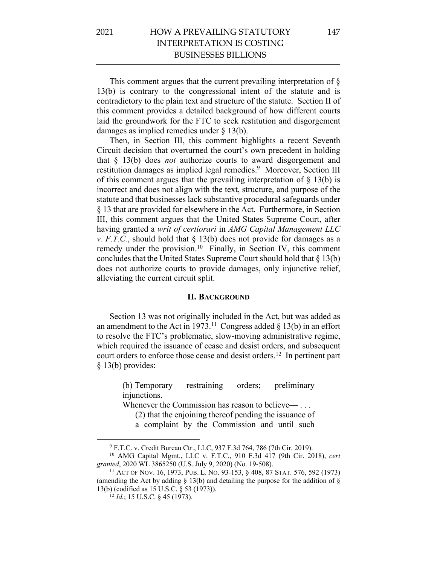This comment argues that the current prevailing interpretation of § 13(b) is contrary to the congressional intent of the statute and is contradictory to the plain text and structure of the statute. Section II of this comment provides a detailed background of how different courts laid the groundwork for the FTC to seek restitution and disgorgement damages as implied remedies under § 13(b).

Then, in Section III, this comment highlights a recent Seventh Circuit decision that overturned the court's own precedent in holding that § 13(b) does *not* authorize courts to award disgorgement and restitution damages as implied legal remedies.<sup>9</sup> Moreover, Section III of this comment argues that the prevailing interpretation of  $\S$  13(b) is incorrect and does not align with the text, structure, and purpose of the statute and that businesses lack substantive procedural safeguards under § 13 that are provided for elsewhere in the Act. Furthermore, in Section III, this comment argues that the United States Supreme Court, after having granted a *writ of certiorari* in *AMG Capital Management LLC v. F.T.C.*, should hold that § 13(b) does not provide for damages as a remedy under the provision.<sup>10</sup> Finally, in Section IV, this comment concludes that the United States Supreme Court should hold that § 13(b) does not authorize courts to provide damages, only injunctive relief, alleviating the current circuit split.

#### **II. BACKGROUND**

Section 13 was not originally included in the Act, but was added as an amendment to the Act in 1973.<sup>11</sup> Congress added  $\S$  13(b) in an effort to resolve the FTC's problematic, slow-moving administrative regime, which required the issuance of cease and desist orders, and subsequent court orders to enforce those cease and desist orders.<sup>12</sup> In pertinent part § 13(b) provides:

> (b) Temporary restraining orders; preliminary injunctions.

Whenever the Commission has reason to believe— ...

(2) that the enjoining thereof pending the issuance of

a complaint by the Commission and until such

<sup>9</sup> F.T.C. v. Credit Bureau Ctr., LLC, 937 F.3d 764, 786 (7th Cir. 2019).

<sup>10</sup> AMG Capital Mgmt., LLC v. F.T.C., 910 F.3d 417 (9th Cir. 2018), *cert granted*, 2020 WL 3865250 (U.S. July 9, 2020) (No. 19-508).

<sup>11</sup> ACT OF NOV. 16, 1973, PUB. L. NO. 93-153, § 408, 87 STAT. 576, 592 (1973) (amending the Act by adding  $\S$  13(b) and detailing the purpose for the addition of  $\S$ 13(b) (codified as 15 U.S.C. § 53 (1973)).

<sup>12</sup> *Id.*; 15 U.S.C. § 45 (1973).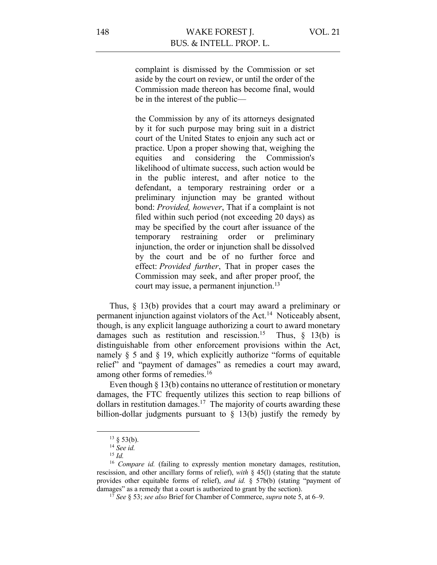complaint is dismissed by the Commission or set aside by the court on review, or until the order of the Commission made thereon has become final, would be in the interest of the public—

the Commission by any of its attorneys designated by it for such purpose may bring suit in a district court of the United States to enjoin any such act or practice. Upon a proper showing that, weighing the equities and considering the Commission's likelihood of ultimate success, such action would be in the public interest, and after notice to the defendant, a temporary restraining order or a preliminary injunction may be granted without bond: *Provided, however*, That if a complaint is not filed within such period (not exceeding 20 days) as may be specified by the court after issuance of the temporary restraining order or preliminary injunction, the order or injunction shall be dissolved by the court and be of no further force and effect: *Provided further*, That in proper cases the Commission may seek, and after proper proof, the court may issue, a permanent injunction.<sup>13</sup>

Thus, § 13(b) provides that a court may award a preliminary or permanent injunction against violators of the Act.14 Noticeably absent, though, is any explicit language authorizing a court to award monetary damages such as restitution and rescission.<sup>15</sup> Thus,  $\S$  13(b) is distinguishable from other enforcement provisions within the Act, namely § 5 and § 19, which explicitly authorize "forms of equitable relief" and "payment of damages" as remedies a court may award, among other forms of remedies.<sup>16</sup>

Even though § 13(b) contains no utterance of restitution or monetary damages, the FTC frequently utilizes this section to reap billions of dollars in restitution damages.17 The majority of courts awarding these billion-dollar judgments pursuant to  $\S$  13(b) justify the remedy by

 $13 \S 53(b)$ .

<sup>14</sup> *See id.*

<sup>15</sup> *Id.*

<sup>&</sup>lt;sup>16</sup> *Compare id.* (failing to expressly mention monetary damages, restitution, rescission, and other ancillary forms of relief), *with* § 45(l) (stating that the statute provides other equitable forms of relief), *and id.* § 57b(b) (stating "payment of damages" as a remedy that a court is authorized to grant by the section).

<sup>17</sup> *See* § 53; *see also* Brief for Chamber of Commerce, *supra* note 5, at 6–9.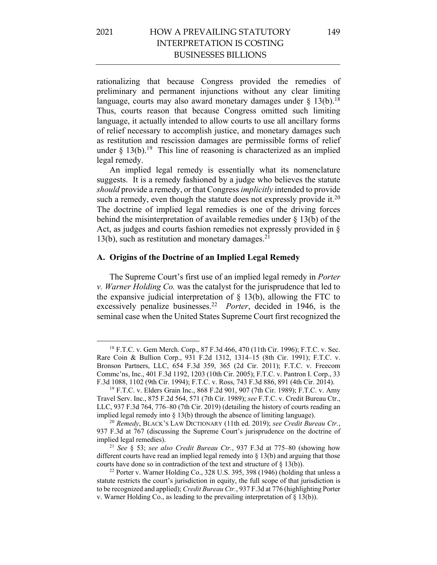rationalizing that because Congress provided the remedies of preliminary and permanent injunctions without any clear limiting language, courts may also award monetary damages under  $\S$  13(b).<sup>18</sup> Thus, courts reason that because Congress omitted such limiting language, it actually intended to allow courts to use all ancillary forms of relief necessary to accomplish justice, and monetary damages such as restitution and rescission damages are permissible forms of relief under  $\S 13(b)$ .<sup>19</sup> This line of reasoning is characterized as an implied legal remedy.

An implied legal remedy is essentially what its nomenclature suggests. It is a remedy fashioned by a judge who believes the statute *should* provide a remedy, or that Congress *implicitly* intended to provide such a remedy, even though the statute does not expressly provide it. $20$ The doctrine of implied legal remedies is one of the driving forces behind the misinterpretation of available remedies under § 13(b) of the Act, as judges and courts fashion remedies not expressly provided in § 13(b), such as restitution and monetary damages. 21

#### **A. Origins of the Doctrine of an Implied Legal Remedy**

The Supreme Court's first use of an implied legal remedy in *Porter v. Warner Holding Co.* was the catalyst for the jurisprudence that led to the expansive judicial interpretation of  $\S$  13(b), allowing the FTC to excessively penalize businesses.22 *Porter*, decided in 1946, is the seminal case when the United States Supreme Court first recognized the

<sup>18</sup> F.T.C. v. Gem Merch. Corp., 87 F.3d 466, 470 (11th Cir. 1996); F.T.C. v. Sec. Rare Coin & Bullion Corp., 931 F.2d 1312, 1314–15 (8th Cir. 1991); F.T.C. v. Bronson Partners, LLC, 654 F.3d 359, 365 (2d Cir. 2011); F.T.C. v. Freecom Commc'ns, Inc., 401 F.3d 1192, 1203 (10th Cir. 2005); F.T.C. v. Pantron I. Corp., 33 F.3d 1088, 1102 (9th Cir. 1994); F.T.C. v. Ross, 743 F.3d 886, 891 (4th Cir. 2014).

<sup>19</sup> F.T.C. v. Elders Grain Inc., 868 F.2d 901, 907 (7th Cir. 1989); F.T.C. v. Amy Travel Serv. Inc., 875 F.2d 564, 571 (7th Cir. 1989); *see* F.T.C. v. Credit Bureau Ctr., LLC, 937 F.3d 764, 776–80 (7th Cir. 2019) (detailing the history of courts reading an implied legal remedy into  $\S 13(b)$  through the absence of limiting language).

<sup>20</sup> *Remedy*, BLACK'S LAW DICTIONARY (11th ed. 2019); *see Credit Bureau Ctr.*, 937 F.3d at 767 (discussing the Supreme Court's jurisprudence on the doctrine of implied legal remedies).

<sup>21</sup> *See* § 53; *see also Credit Bureau Ctr.*, 937 F.3d at 775–80 (showing how different courts have read an implied legal remedy into § 13(b) and arguing that those courts have done so in contradiction of the text and structure of § 13(b)).

<sup>&</sup>lt;sup>22</sup> Porter v. Warner Holding Co., 328 U.S. 395, 398 (1946) (holding that unless a statute restricts the court's jurisdiction in equity, the full scope of that jurisdiction is to be recognized and applied); *Credit Bureau Ctr.*, 937 F.3d at 776 (highlighting Porter v. Warner Holding Co., as leading to the prevailing interpretation of § 13(b)).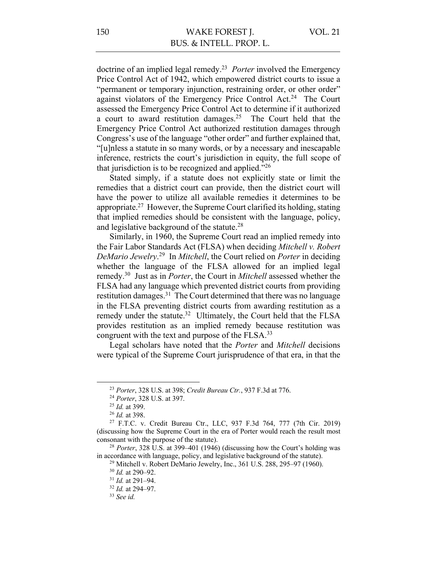doctrine of an implied legal remedy. 23 *Porter* involved the Emergency Price Control Act of 1942, which empowered district courts to issue a "permanent or temporary injunction, restraining order, or other order" against violators of the Emergency Price Control Act.<sup>24</sup> The Court assessed the Emergency Price Control Act to determine if it authorized a court to award restitution damages.<sup>25</sup> The Court held that the Emergency Price Control Act authorized restitution damages through Congress's use of the language "other order" and further explained that, "[u]nless a statute in so many words, or by a necessary and inescapable inference, restricts the court's jurisdiction in equity, the full scope of that jurisdiction is to be recognized and applied."26

Stated simply, if a statute does not explicitly state or limit the remedies that a district court can provide, then the district court will have the power to utilize all available remedies it determines to be appropriate.27 However, the Supreme Court clarified its holding, stating that implied remedies should be consistent with the language, policy, and legislative background of the statute.<sup>28</sup>

Similarly, in 1960, the Supreme Court read an implied remedy into the Fair Labor Standards Act (FLSA) when deciding *Mitchell v. Robert DeMario Jewelry*. 29 In *Mitchell*, the Court relied on *Porter* in deciding whether the language of the FLSA allowed for an implied legal remedy.30 Just as in *Porter*, the Court in *Mitchell* assessed whether the FLSA had any language which prevented district courts from providing restitution damages.<sup>31</sup> The Court determined that there was no language in the FLSA preventing district courts from awarding restitution as a remedy under the statute.<sup>32</sup> Ultimately, the Court held that the FLSA provides restitution as an implied remedy because restitution was congruent with the text and purpose of the FLSA.<sup>33</sup>

Legal scholars have noted that the *Porter* and *Mitchell* decisions were typical of the Supreme Court jurisprudence of that era, in that the

<sup>23</sup> *Porter*, 328 U.S. at 398; *Credit Bureau Ctr.*, 937 F.3d at 776.

<sup>24</sup> *Porter*, 328 U.S. at 397.

<sup>25</sup> *Id.* at 399.

<sup>26</sup> *Id.* at 398.

<sup>27</sup> F.T.C. v. Credit Bureau Ctr., LLC, 937 F.3d 764, 777 (7th Cir. 2019) (discussing how the Supreme Court in the era of Porter would reach the result most consonant with the purpose of the statute).

<sup>28</sup> *Porter*, 328 U.S. at 399–401 (1946) (discussing how the Court's holding was in accordance with language, policy, and legislative background of the statute).

<sup>29</sup> Mitchell v. Robert DeMario Jewelry, Inc., 361 U.S. 288, 295–97 (1960).

<sup>30</sup> *Id.* at 290–92.

<sup>31</sup> *Id.* at 291–94.

<sup>32</sup> *Id.* at 294–97.

<sup>33</sup> *See id.*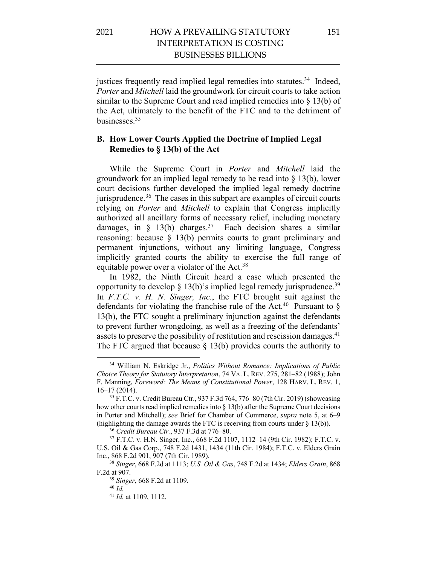justices frequently read implied legal remedies into statutes.<sup>34</sup> Indeed, *Porter* and *Mitchell* laid the groundwork for circuit courts to take action similar to the Supreme Court and read implied remedies into § 13(b) of the Act, ultimately to the benefit of the FTC and to the detriment of businesses.35

#### **B. How Lower Courts Applied the Doctrine of Implied Legal Remedies to § 13(b) of the Act**

While the Supreme Court in *Porter* and *Mitchell* laid the groundwork for an implied legal remedy to be read into § 13(b), lower court decisions further developed the implied legal remedy doctrine jurisprudence.36 The cases in this subpart are examples of circuit courts relying on *Porter* and *Mitchell* to explain that Congress implicitly authorized all ancillary forms of necessary relief, including monetary damages, in  $\S$  13(b) charges.<sup>37</sup> Each decision shares a similar reasoning: because § 13(b) permits courts to grant preliminary and permanent injunctions, without any limiting language, Congress implicitly granted courts the ability to exercise the full range of equitable power over a violator of the Act.<sup>38</sup>

In 1982, the Ninth Circuit heard a case which presented the opportunity to develop  $\S 13(b)$ 's implied legal remedy jurisprudence.<sup>39</sup> In *F.T.C. v. H. N. Singer, Inc.*, the FTC brought suit against the defendants for violating the franchise rule of the Act.<sup>40</sup> Pursuant to  $\S$ 13(b), the FTC sought a preliminary injunction against the defendants to prevent further wrongdoing, as well as a freezing of the defendants' assets to preserve the possibility of restitution and rescission damages.<sup>41</sup> The FTC argued that because  $\S$  13(b) provides courts the authority to

<sup>34</sup> William N. Eskridge Jr., *Politics Without Romance: Implications of Public Choice Theory for Statutory Interpretation*, 74 VA. L. REV. 275, 281–82 (1988); John F. Manning, *Foreword: The Means of Constitutional Power*, 128 HARV. L. REV. 1, 16–17 (2014).

<sup>35</sup> F.T.C. v. Credit Bureau Ctr., 937 F.3d 764, 776–80 (7th Cir. 2019) (showcasing how other courts read implied remedies into  $\S 13(b)$  after the Supreme Court decisions in Porter and Mitchell); *see* Brief for Chamber of Commerce, *supra* note 5, at 6–9 (highlighting the damage awards the FTC is receiving from courts under  $\S 13(b)$ ).

<sup>36</sup> *Credit Bureau Ctr.*, 937 F.3d at 776–80.

<sup>37</sup> F.T.C. v. H.N. Singer, Inc., 668 F.2d 1107, 1112–14 (9th Cir. 1982); F.T.C. v. U.S. Oil & Gas Corp., 748 F.2d 1431, 1434 (11th Cir. 1984); F.T.C. v. Elders Grain Inc., 868 F.2d 901, 907 (7th Cir. 1989).

<sup>38</sup> *Singer*, 668 F.2d at 1113; *U.S. Oil & Gas*, 748 F.2d at 1434; *Elders Grain*, 868 F.2d at 907.

<sup>39</sup> *Singer*, 668 F.2d at 1109.

<sup>40</sup> *Id.*

<sup>41</sup> *Id.* at 1109, 1112.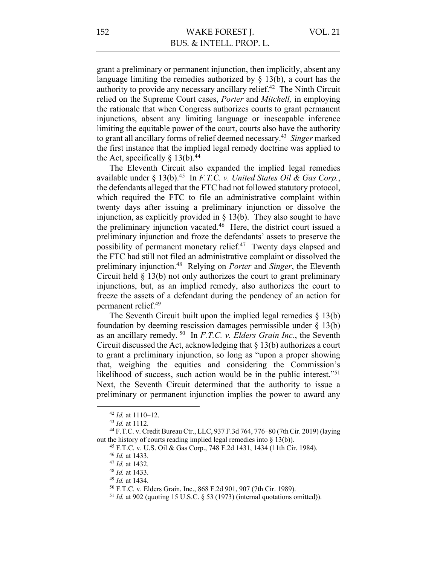grant a preliminary or permanent injunction, then implicitly, absent any language limiting the remedies authorized by  $\S$  13(b), a court has the authority to provide any necessary ancillary relief.<sup>42</sup> The Ninth Circuit relied on the Supreme Court cases, *Porter* and *Mitchell,* in employing the rationale that when Congress authorizes courts to grant permanent injunctions, absent any limiting language or inescapable inference limiting the equitable power of the court, courts also have the authority to grant all ancillary forms of relief deemed necessary.43 *Singer* marked the first instance that the implied legal remedy doctrine was applied to the Act, specifically  $\S$  13(b).<sup>44</sup>

The Eleventh Circuit also expanded the implied legal remedies available under § 13(b).<sup>45</sup> In *F.T.C. v. United States Oil & Gas Corp.*, the defendants alleged that the FTC had not followed statutory protocol, which required the FTC to file an administrative complaint within twenty days after issuing a preliminary injunction or dissolve the injunction, as explicitly provided in  $\S$  13(b). They also sought to have the preliminary injunction vacated. 46 Here, the district court issued a preliminary injunction and froze the defendants' assets to preserve the possibility of permanent monetary relief.47 Twenty days elapsed and the FTC had still not filed an administrative complaint or dissolved the preliminary injunction.48 Relying on *Porter* and *Singer*, the Eleventh Circuit held § 13(b) not only authorizes the court to grant preliminary injunctions, but, as an implied remedy, also authorizes the court to freeze the assets of a defendant during the pendency of an action for permanent relief.49

The Seventh Circuit built upon the implied legal remedies  $\S$  13(b) foundation by deeming rescission damages permissible under  $\S$  13(b) as an ancillary remedy. 50 In *F.T.C. v. Elders Grain Inc.*, the Seventh Circuit discussed the Act, acknowledging that § 13(b) authorizes a court to grant a preliminary injunction, so long as "upon a proper showing that, weighing the equities and considering the Commission's likelihood of success, such action would be in the public interest."<sup>51</sup> Next, the Seventh Circuit determined that the authority to issue a preliminary or permanent injunction implies the power to award any

<sup>42</sup> *Id.* at 1110–12.

<sup>43</sup> *Id.* at 1112.

<sup>44</sup> F.T.C. v. Credit Bureau Ctr., LLC, 937 F.3d 764, 776–80 (7th Cir. 2019) (laying out the history of courts reading implied legal remedies into § 13(b)).

<sup>45</sup> F.T.C. v. U.S. Oil & Gas Corp., 748 F.2d 1431, 1434 (11th Cir. 1984).

<sup>46</sup> *Id.* at 1433.

<sup>47</sup> *Id.* at 1432.

<sup>48</sup> *Id.* at 1433.

<sup>49</sup> *Id.* at 1434.

<sup>50</sup> F.T.C. v. Elders Grain, Inc., 868 F.2d 901, 907 (7th Cir. 1989).

 $51$  *Id.* at 902 (quoting 15 U.S.C.  $\S$  53 (1973) (internal quotations omitted)).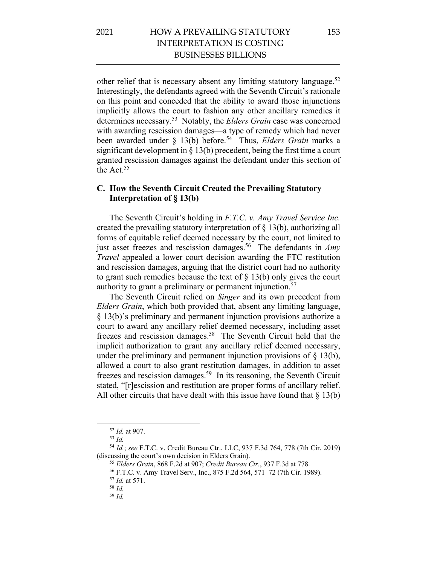other relief that is necessary absent any limiting statutory language.<sup>52</sup> Interestingly, the defendants agreed with the Seventh Circuit's rationale on this point and conceded that the ability to award those injunctions implicitly allows the court to fashion any other ancillary remedies it determines necessary.53 Notably, the *Elders Grain* case was concerned with awarding rescission damages—a type of remedy which had never been awarded under § 13(b) before.54 Thus, *Elders Grain* marks a significant development in § 13(b) precedent, being the first time a court granted rescission damages against the defendant under this section of the Act.55

### **C. How the Seventh Circuit Created the Prevailing Statutory Interpretation of § 13(b)**

The Seventh Circuit's holding in *F.T.C. v. Amy Travel Service Inc.* created the prevailing statutory interpretation of  $\S$  13(b), authorizing all forms of equitable relief deemed necessary by the court, not limited to just asset freezes and rescission damages. 56 The defendants in *Amy Travel* appealed a lower court decision awarding the FTC restitution and rescission damages, arguing that the district court had no authority to grant such remedies because the text of  $\S 13(b)$  only gives the court authority to grant a preliminary or permanent injunction.<sup>57</sup>

The Seventh Circuit relied on *Singer* and its own precedent from *Elders Grain*, which both provided that, absent any limiting language, § 13(b)'s preliminary and permanent injunction provisions authorize a court to award any ancillary relief deemed necessary, including asset freezes and rescission damages.58 The Seventh Circuit held that the implicit authorization to grant any ancillary relief deemed necessary, under the preliminary and permanent injunction provisions of  $\S$  13(b), allowed a court to also grant restitution damages, in addition to asset freezes and rescission damages.59 In its reasoning, the Seventh Circuit stated, "[r]escission and restitution are proper forms of ancillary relief. All other circuits that have dealt with this issue have found that  $\S 13(b)$ 

<sup>55</sup> *Elders Grain*, 868 F.2d at 907; *Credit Bureau Ctr.*, 937 F.3d at 778.

<sup>52</sup> *Id.* at 907.

<sup>53</sup> *Id.*

<sup>54</sup> *Id.*; *see* F.T.C. v. Credit Bureau Ctr., LLC, 937 F.3d 764, 778 (7th Cir. 2019) (discussing the court's own decision in Elders Grain).

<sup>56</sup> F.T.C. v. Amy Travel Serv., Inc., 875 F.2d 564, 571–72 (7th Cir. 1989).

<sup>57</sup> *Id.* at 571.

<sup>58</sup> *Id.*

<sup>59</sup> *Id.*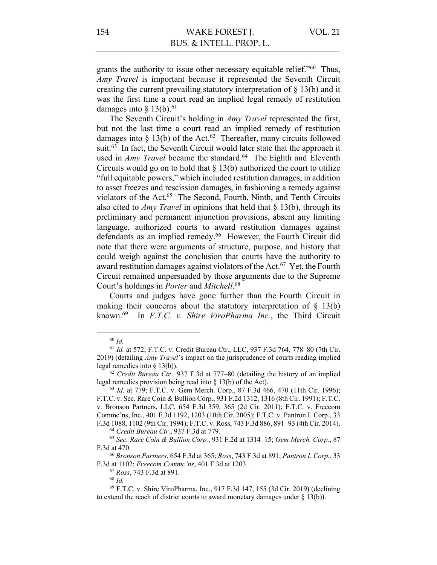grants the authority to issue other necessary equitable relief."60 Thus, *Amy Travel* is important because it represented the Seventh Circuit creating the current prevailing statutory interpretation of § 13(b) and it was the first time a court read an implied legal remedy of restitution damages into  $\S$  13(b).<sup>61</sup>

The Seventh Circuit's holding in *Amy Travel* represented the first, but not the last time a court read an implied remedy of restitution damages into  $\S$  13(b) of the Act.<sup>62</sup> Thereafter, many circuits followed suit.<sup>63</sup> In fact, the Seventh Circuit would later state that the approach it used in *Amy Travel* became the standard.<sup>64</sup> The Eighth and Eleventh Circuits would go on to hold that  $\S 13(b)$  authorized the court to utilize "full equitable powers," which included restitution damages, in addition to asset freezes and rescission damages, in fashioning a remedy against violators of the Act.<sup>65</sup> The Second, Fourth, Ninth, and Tenth Circuits also cited to *Amy Travel* in opinions that held that § 13(b), through its preliminary and permanent injunction provisions, absent any limiting language, authorized courts to award restitution damages against defendants as an implied remedy. 66 However, the Fourth Circuit did note that there were arguments of structure, purpose, and history that could weigh against the conclusion that courts have the authority to award restitution damages against violators of the Act.<sup>67</sup> Yet, the Fourth Circuit remained unpersuaded by those arguments due to the Supreme Court's holdings in *Porter* and *Mitchell*. 68

Courts and judges have gone further than the Fourth Circuit in making their concerns about the statutory interpretation of  $\S$  13(b) known.69 In *F.T.C. v. Shire ViroPharma Inc.*, the Third Circuit

<sup>68</sup> *Id.*

<sup>60</sup> *Id.*

<sup>61</sup> *Id.* at 572; F.T.C. v. Credit Bureau Ctr., LLC, 937 F.3d 764, 778–80 (7th Cir. 2019) (detailing *Amy Travel*'s impact on the jurisprudence of courts reading implied legal remedies into § 13(b)).

<sup>62</sup> *Credit Bureau Ctr.,* 937 F.3d at 777–80 (detailing the history of an implied legal remedies provision being read into § 13(b) of the Act).

<sup>63</sup> *Id.* at 779; F.T.C. v. Gem Merch. Corp., 87 F.3d 466, 470 (11th Cir. 1996); F.T.C. v. Sec. Rare Coin & Bullion Corp., 931 F.2d 1312, 1316 (8th Cir. 1991); F.T.C. v. Bronson Partners, LLC, 654 F.3d 359, 365 (2d Cir. 2011); F.T.C. v. Freecom Commc'ns, Inc., 401 F.3d 1192, 1203 (10th Cir. 2005); F.T.C. v. Pantron I. Corp., 33 F.3d 1088, 1102 (9th Cir. 1994); F.T.C. v. Ross, 743 F.3d 886, 891–93 (4th Cir. 2014).

<sup>64</sup> *Credit Bureau Ctr.*, 937 F.3d at 779.

<sup>65</sup> *Sec. Rare Coin & Bullion Corp.*, 931 F.2d at 1314–15; *Gem Merch. Corp.*, 87 F.3d at 470.

<sup>66</sup> *Bronson Partners*, 654 F.3d at 365; *Ross*, 743 F.3d at 891; *Pantron I. Corp.*, 33 F.3d at 1102; *Freecom Commc'ns*, 401 F.3d at 1203.

<sup>67</sup> *Ross*, 743 F.3d at 891.

<sup>69</sup> F.T.C. v. Shire ViroPharma, Inc., 917 F.3d 147, 155 (3d Cir. 2019) (declining to extend the reach of district courts to award monetary damages under § 13(b)).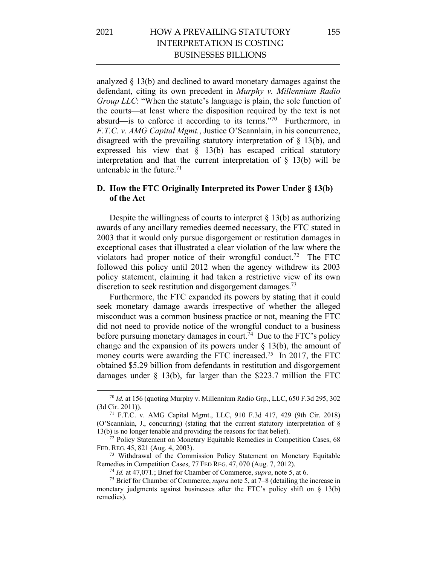analyzed § 13(b) and declined to award monetary damages against the defendant, citing its own precedent in *Murphy v. Millennium Radio Group LLC*: "When the statute's language is plain, the sole function of the courts—at least where the disposition required by the text is not absurd—is to enforce it according to its terms."70 Furthermore, in *F.T.C. v. AMG Capital Mgmt.*, Justice O'Scannlain, in his concurrence, disagreed with the prevailing statutory interpretation of § 13(b), and expressed his view that § 13(b) has escaped critical statutory interpretation and that the current interpretation of  $\S$  13(b) will be untenable in the future. $71$ 

### **D. How the FTC Originally Interpreted its Power Under § 13(b) of the Act**

Despite the willingness of courts to interpret  $\S 13(b)$  as authorizing awards of any ancillary remedies deemed necessary, the FTC stated in 2003 that it would only pursue disgorgement or restitution damages in exceptional cases that illustrated a clear violation of the law where the violators had proper notice of their wrongful conduct.<sup>72</sup> The FTC followed this policy until 2012 when the agency withdrew its 2003 policy statement, claiming it had taken a restrictive view of its own discretion to seek restitution and disgorgement damages.<sup>73</sup>

Furthermore, the FTC expanded its powers by stating that it could seek monetary damage awards irrespective of whether the alleged misconduct was a common business practice or not, meaning the FTC did not need to provide notice of the wrongful conduct to a business before pursuing monetary damages in court.<sup>74</sup> Due to the FTC's policy change and the expansion of its powers under  $\S$  13(b), the amount of money courts were awarding the FTC increased.<sup>75</sup> In 2017, the FTC obtained \$5.29 billion from defendants in restitution and disgorgement damages under § 13(b), far larger than the \$223.7 million the FTC

<sup>70</sup> *Id.* at 156 (quoting Murphy v. Millennium Radio Grp., LLC, 650 F.3d 295, 302 (3d Cir. 2011)).

<sup>71</sup> F.T.C. v. AMG Capital Mgmt., LLC, 910 F.3d 417, 429 (9th Cir. 2018) (O'Scannlain, J., concurring) (stating that the current statutory interpretation of § 13(b) is no longer tenable and providing the reasons for that belief).

<sup>&</sup>lt;sup>72</sup> Policy Statement on Monetary Equitable Remedies in Competition Cases, 68 FED. REG. 45, 821 (Aug. 4, 2003).

<sup>&</sup>lt;sup>73</sup> Withdrawal of the Commission Policy Statement on Monetary Equitable Remedies in Competition Cases, 77 FED REG. 47, 070 (Aug. 7, 2012).

<sup>74</sup> *Id.* at 47,071*.*; Brief for Chamber of Commerce, *supra*, note 5, at 6.

<sup>75</sup> Brief for Chamber of Commerce, *supra* note 5, at 7–8 (detailing the increase in monetary judgments against businesses after the FTC's policy shift on § 13(b) remedies).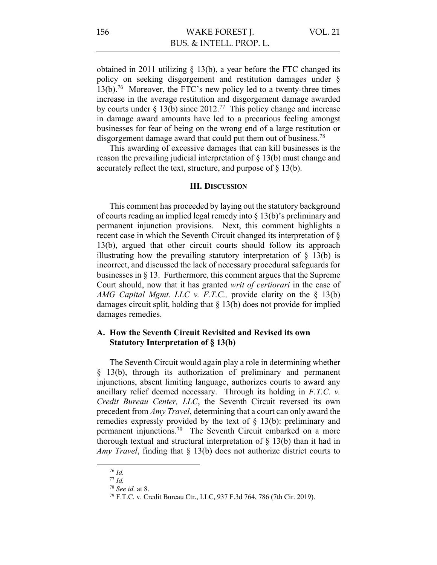obtained in 2011 utilizing  $\S$  13(b), a year before the FTC changed its policy on seeking disgorgement and restitution damages under § 13(b).76 Moreover, the FTC's new policy led to a twenty-three times increase in the average restitution and disgorgement damage awarded by courts under  $\S 13(b)$  since 2012.<sup>77</sup> This policy change and increase in damage award amounts have led to a precarious feeling amongst businesses for fear of being on the wrong end of a large restitution or disgorgement damage award that could put them out of business.<sup>78</sup>

This awarding of excessive damages that can kill businesses is the reason the prevailing judicial interpretation of § 13(b) must change and accurately reflect the text, structure, and purpose of § 13(b).

#### **III. DISCUSSION**

This comment has proceeded by laying out the statutory background of courts reading an implied legal remedy into § 13(b)'s preliminary and permanent injunction provisions. Next, this comment highlights a recent case in which the Seventh Circuit changed its interpretation of § 13(b), argued that other circuit courts should follow its approach illustrating how the prevailing statutory interpretation of  $\S$  13(b) is incorrect, and discussed the lack of necessary procedural safeguards for businesses in § 13. Furthermore, this comment argues that the Supreme Court should, now that it has granted *writ of certiorari* in the case of *AMG Capital Mgmt. LLC v. F.T.C.,* provide clarity on the § 13(b) damages circuit split, holding that § 13(b) does not provide for implied damages remedies.

#### **A. How the Seventh Circuit Revisited and Revised its own Statutory Interpretation of § 13(b)**

The Seventh Circuit would again play a role in determining whether § 13(b), through its authorization of preliminary and permanent injunctions, absent limiting language, authorizes courts to award any ancillary relief deemed necessary. Through its holding in *F.T.C. v. Credit Bureau Center, LLC*, the Seventh Circuit reversed its own precedent from *Amy Travel*, determining that a court can only award the remedies expressly provided by the text of § 13(b): preliminary and permanent injunctions.79 The Seventh Circuit embarked on a more thorough textual and structural interpretation of  $\S$  13(b) than it had in *Amy Travel*, finding that § 13(b) does not authorize district courts to

<sup>76</sup> *Id.*

<sup>77</sup> *Id.*

<sup>78</sup> *See id.* at 8.

<sup>79</sup> F.T.C. v. Credit Bureau Ctr., LLC, 937 F.3d 764, 786 (7th Cir. 2019).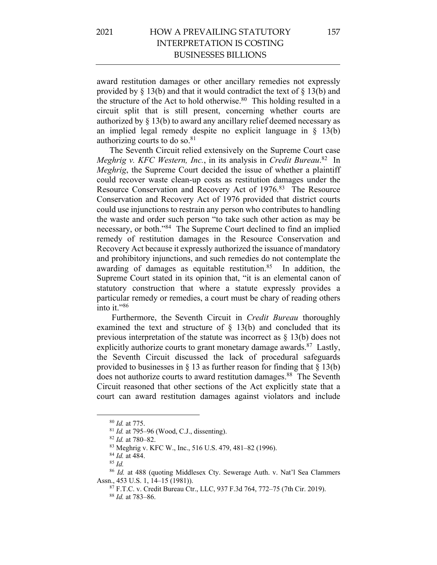# 2021 HOW A PREVAILING STATUTORY INTERPRETATION IS COSTING BUSINESSES BILLIONS

award restitution damages or other ancillary remedies not expressly provided by  $\S$  13(b) and that it would contradict the text of  $\S$  13(b) and the structure of the Act to hold otherwise.<sup>80</sup> This holding resulted in a circuit split that is still present, concerning whether courts are authorized by § 13(b) to award any ancillary relief deemed necessary as an implied legal remedy despite no explicit language in § 13(b) authorizing courts to do so. $81$ 

The Seventh Circuit relied extensively on the Supreme Court case *Meghrig v. KFC Western, Inc.*, in its analysis in *Credit Bureau*. <sup>82</sup> In *Meghrig*, the Supreme Court decided the issue of whether a plaintiff could recover waste clean-up costs as restitution damages under the Resource Conservation and Recovery Act of 1976.83 The Resource Conservation and Recovery Act of 1976 provided that district courts could use injunctions to restrain any person who contributes to handling the waste and order such person "to take such other action as may be necessary, or both."84 The Supreme Court declined to find an implied remedy of restitution damages in the Resource Conservation and Recovery Act because it expressly authorized the issuance of mandatory and prohibitory injunctions, and such remedies do not contemplate the awarding of damages as equitable restitution.<sup>85</sup> In addition, the Supreme Court stated in its opinion that, "it is an elemental canon of statutory construction that where a statute expressly provides a particular remedy or remedies, a court must be chary of reading others into it."86

Furthermore, the Seventh Circuit in *Credit Bureau* thoroughly examined the text and structure of § 13(b) and concluded that its previous interpretation of the statute was incorrect as § 13(b) does not explicitly authorize courts to grant monetary damage awards.<sup>87</sup> Lastly, the Seventh Circuit discussed the lack of procedural safeguards provided to businesses in  $\S$  13 as further reason for finding that  $\S$  13(b) does not authorize courts to award restitution damages. 88 The Seventh Circuit reasoned that other sections of the Act explicitly state that a court can award restitution damages against violators and include

<sup>80</sup> *Id.* at 775.

<sup>81</sup> *Id.* at 795–96 (Wood, C.J., dissenting).

<sup>82</sup> *Id.* at 780–82.

<sup>83</sup> Meghrig v. KFC W., Inc., 516 U.S. 479, 481–82 (1996).

<sup>84</sup> *Id.* at 484.

<sup>85</sup> *Id.*

<sup>86</sup> *Id.* at 488 (quoting Middlesex Cty. Sewerage Auth. v. Nat'l Sea Clammers Assn., 453 U.S. 1, 14–15 (1981)).

<sup>87</sup> F.T.C. v. Credit Bureau Ctr., LLC, 937 F.3d 764, 772–75 (7th Cir. 2019).

<sup>88</sup> *Id.* at 783–86.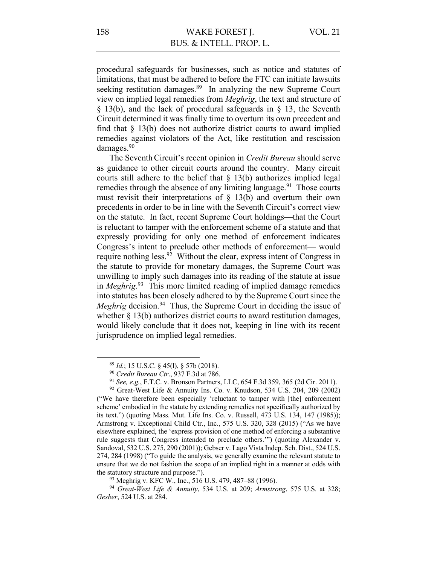procedural safeguards for businesses, such as notice and statutes of limitations, that must be adhered to before the FTC can initiate lawsuits seeking restitution damages.<sup>89</sup> In analyzing the new Supreme Court view on implied legal remedies from *Meghrig*, the text and structure of § 13(b), and the lack of procedural safeguards in § 13, the Seventh Circuit determined it was finally time to overturn its own precedent and find that  $\S$  13(b) does not authorize district courts to award implied remedies against violators of the Act, like restitution and rescission damages. 90

The SeventhCircuit's recent opinion in *Credit Bureau* should serve as guidance to other circuit courts around the country. Many circuit courts still adhere to the belief that  $\S$  13(b) authorizes implied legal remedies through the absence of any limiting language.<sup>91</sup> Those courts must revisit their interpretations of  $\S$  13(b) and overturn their own precedents in order to be in line with the Seventh Circuit's correct view on the statute. In fact, recent Supreme Court holdings—that the Court is reluctant to tamper with the enforcement scheme of a statute and that expressly providing for only one method of enforcement indicates Congress's intent to preclude other methods of enforcement— would require nothing less.<sup>92</sup> Without the clear, express intent of Congress in the statute to provide for monetary damages, the Supreme Court was unwilling to imply such damages into its reading of the statute at issue in *Meghrig*. 93 This more limited reading of implied damage remedies into statutes has been closely adhered to by the Supreme Court since the *Meghrig* decision. 94 Thus, the Supreme Court in deciding the issue of whether  $\S 13(b)$  authorizes district courts to award restitution damages, would likely conclude that it does not, keeping in line with its recent jurisprudence on implied legal remedies.

<sup>89</sup> *Id.*; 15 U.S.C. § 45(l), § 57b (2018).

<sup>90</sup> *Credit Bureau Ctr*., 937 F.3d at 786.

<sup>91</sup> *See, e.g.*, F.T.C. v. Bronson Partners, LLC, 654 F.3d 359, 365 (2d Cir. 2011).

<sup>&</sup>lt;sup>92</sup> Great-West Life & Annuity Ins. Co. v. Knudson, 534 U.S. 204, 209 (2002) ("We have therefore been especially 'reluctant to tamper with [the] enforcement scheme' embodied in the statute by extending remedies not specifically authorized by its text.") (quoting Mass. Mut. Life Ins. Co. v. Russell, 473 U.S. 134, 147 (1985)); Armstrong v. Exceptional Child Ctr., Inc., 575 U.S. 320, 328 (2015) ("As we have elsewhere explained, the 'express provision of one method of enforcing a substantive rule suggests that Congress intended to preclude others.'") (quoting Alexander v. Sandoval, 532 U.S. 275, 290 (2001)); Gebser v. Lago Vista Indep. Sch. Dist., 524 U.S. 274, 284 (1998) ("To guide the analysis, we generally examine the relevant statute to ensure that we do not fashion the scope of an implied right in a manner at odds with the statutory structure and purpose.").

<sup>93</sup> Meghrig v. KFC W., Inc., 516 U.S. 479, 487–88 (1996).

<sup>94</sup> *Great-West Life & Annuity*, 534 U.S. at 209; *Armstrong*, 575 U.S. at 328; *Gesber*, 524 U.S. at 284.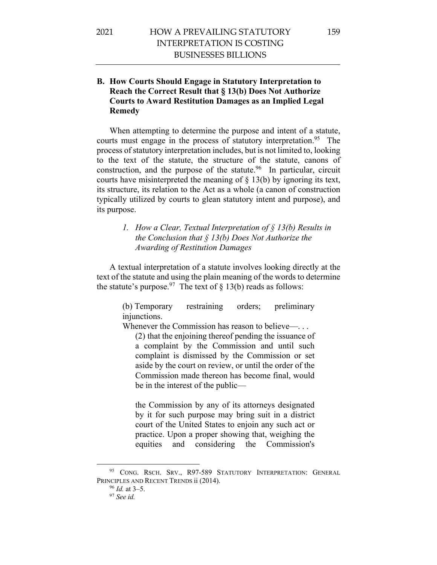### **B. How Courts Should Engage in Statutory Interpretation to Reach the Correct Result that § 13(b) Does Not Authorize Courts to Award Restitution Damages as an Implied Legal Remedy**

When attempting to determine the purpose and intent of a statute, courts must engage in the process of statutory interpretation.<sup>95</sup> The process of statutory interpretation includes, but is not limited to, looking to the text of the statute, the structure of the statute, canons of construction, and the purpose of the statute.<sup>96</sup> In particular, circuit courts have misinterpreted the meaning of § 13(b) by ignoring its text, its structure, its relation to the Act as a whole (a canon of construction typically utilized by courts to glean statutory intent and purpose), and its purpose.

### *1. How a Clear, Textual Interpretation of § 13(b) Results in the Conclusion that § 13(b) Does Not Authorize the Awarding of Restitution Damages*

A textual interpretation of a statute involves looking directly at the text of the statute and using the plain meaning of the words to determine the statute's purpose.<sup>97</sup> The text of  $\S 13(b)$  reads as follows:

> (b) Temporary restraining orders; preliminary injunctions.

Whenever the Commission has reason to believe—...

(2) that the enjoining thereof pending the issuance of a complaint by the Commission and until such complaint is dismissed by the Commission or set aside by the court on review, or until the order of the Commission made thereon has become final, would be in the interest of the public—

the Commission by any of its attorneys designated by it for such purpose may bring suit in a district court of the United States to enjoin any such act or practice. Upon a proper showing that, weighing the equities and considering the Commission's

<sup>&</sup>lt;sup>95</sup> CONG. RSCH. SRV., R97-589 STATUTORY INTERPRETATION: GENERAL PRINCIPLES AND RECENT TRENDS ii (2014).

<sup>96</sup> *Id.* at 3–5.

<sup>97</sup> *See id.*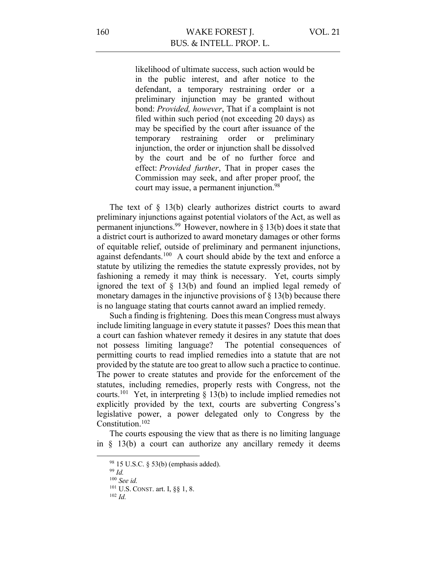likelihood of ultimate success, such action would be in the public interest, and after notice to the defendant, a temporary restraining order or a preliminary injunction may be granted without bond: *Provided, however*, That if a complaint is not filed within such period (not exceeding 20 days) as may be specified by the court after issuance of the temporary restraining order or preliminary injunction, the order or injunction shall be dissolved by the court and be of no further force and effect: *Provided further*, That in proper cases the Commission may seek, and after proper proof, the court may issue, a permanent injunction.<sup>98</sup>

The text of  $\S$  13(b) clearly authorizes district courts to award preliminary injunctions against potential violators of the Act, as well as permanent injunctions.<sup>99</sup> However, nowhere in  $\S$  13(b) does it state that a district court is authorized to award monetary damages or other forms of equitable relief, outside of preliminary and permanent injunctions, against defendants.<sup>100</sup> A court should abide by the text and enforce a statute by utilizing the remedies the statute expressly provides, not by fashioning a remedy it may think is necessary. Yet, courts simply ignored the text of § 13(b) and found an implied legal remedy of monetary damages in the injunctive provisions of  $\S$  13(b) because there is no language stating that courts cannot award an implied remedy.

Such a finding is frightening. Does this mean Congress must always include limiting language in every statute it passes? Does this mean that a court can fashion whatever remedy it desires in any statute that does not possess limiting language? The potential consequences of permitting courts to read implied remedies into a statute that are not provided by the statute are too great to allow such a practice to continue. The power to create statutes and provide for the enforcement of the statutes, including remedies, properly rests with Congress, not the courts.<sup>101</sup> Yet, in interpreting  $\S$  13(b) to include implied remedies not explicitly provided by the text, courts are subverting Congress's legislative power, a power delegated only to Congress by the Constitution.102

The courts espousing the view that as there is no limiting language in § 13(b) a court can authorize any ancillary remedy it deems

<sup>98</sup> 15 U.S.C. § 53(b) (emphasis added).

<sup>99</sup> *Id.*

<sup>100</sup> *See id.*

<sup>101</sup> U.S. CONST. art. I, §§ 1, 8.

<sup>102</sup> *Id.*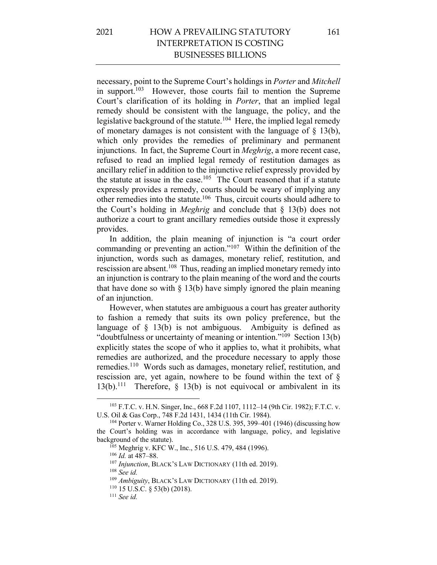necessary, point to the Supreme Court's holdings in *Porter* and *Mitchell* in support.103 However, those courts fail to mention the Supreme Court's clarification of its holding in *Porter*, that an implied legal remedy should be consistent with the language, the policy, and the legislative background of the statute.<sup>104</sup> Here, the implied legal remedy of monetary damages is not consistent with the language of  $\S$  13(b), which only provides the remedies of preliminary and permanent injunctions. In fact, the Supreme Court in *Meghrig*, a more recent case, refused to read an implied legal remedy of restitution damages as ancillary relief in addition to the injunctive relief expressly provided by the statute at issue in the case.<sup>105</sup> The Court reasoned that if a statute expressly provides a remedy, courts should be weary of implying any other remedies into the statute.106 Thus, circuit courts should adhere to the Court's holding in *Meghrig* and conclude that § 13(b) does not authorize a court to grant ancillary remedies outside those it expressly provides.

In addition, the plain meaning of injunction is "a court order commanding or preventing an action."107 Within the definition of the injunction, words such as damages, monetary relief, restitution, and rescission are absent.<sup>108</sup> Thus, reading an implied monetary remedy into an injunction is contrary to the plain meaning of the word and the courts that have done so with  $\S$  13(b) have simply ignored the plain meaning of an injunction.

However, when statutes are ambiguous a court has greater authority to fashion a remedy that suits its own policy preference, but the language of  $\S$  13(b) is not ambiguous. Ambiguity is defined as "doubtfulness or uncertainty of meaning or intention."<sup>109</sup> Section 13(b) explicitly states the scope of who it applies to, what it prohibits, what remedies are authorized, and the procedure necessary to apply those remedies.110 Words such as damages, monetary relief, restitution, and rescission are, yet again, nowhere to be found within the text of § 13(b).<sup>111</sup> Therefore,  $\S$  13(b) is not equivocal or ambivalent in its

<sup>103</sup> F.T.C. v. H.N. Singer, Inc., 668 F.2d 1107, 1112–14 (9th Cir. 1982); F.T.C. v. U.S. Oil & Gas Corp., 748 F.2d 1431, 1434 (11th Cir. 1984).

<sup>104</sup> Porter v. Warner Holding Co., 328 U.S. 395, 399–401 (1946) (discussing how the Court's holding was in accordance with language, policy, and legislative background of the statute).

<sup>&</sup>lt;sup>105</sup> Meghrig v. KFC W., Inc., 516 U.S. 479, 484 (1996).

<sup>106</sup> *Id.* at 487–88.

<sup>&</sup>lt;sup>107</sup> *Injunction*, BLACK's LAW DICTIONARY (11th ed. 2019).

<sup>108</sup> *See id.*

<sup>109</sup> *Ambiguity*, BLACK'S LAW DICTIONARY (11th ed. 2019).

<sup>110</sup> 15 U.S.C. § 53(b) (2018).

<sup>111</sup> *See id.*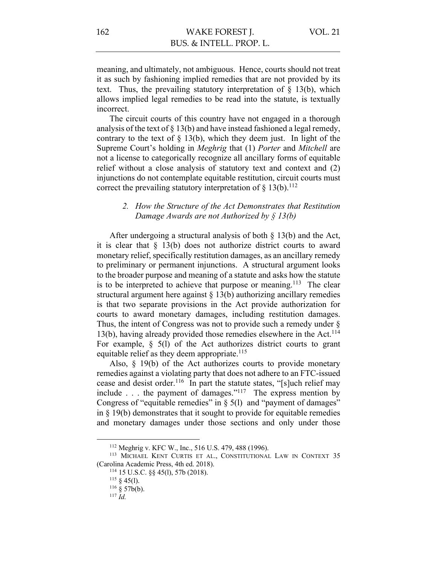meaning, and ultimately, not ambiguous. Hence, courts should not treat it as such by fashioning implied remedies that are not provided by its text. Thus, the prevailing statutory interpretation of  $\S$  13(b), which allows implied legal remedies to be read into the statute, is textually incorrect.

The circuit courts of this country have not engaged in a thorough analysis of the text of  $\S 13(b)$  and have instead fashioned a legal remedy, contrary to the text of  $\S$  13(b), which they deem just. In light of the Supreme Court's holding in *Meghrig* that (1) *Porter* and *Mitchell* are not a license to categorically recognize all ancillary forms of equitable relief without a close analysis of statutory text and context and (2) injunctions do not contemplate equitable restitution, circuit courts must correct the prevailing statutory interpretation of  $\S$  13(b).<sup>112</sup>

#### *2. How the Structure of the Act Demonstrates that Restitution Damage Awards are not Authorized by § 13(b)*

After undergoing a structural analysis of both § 13(b) and the Act, it is clear that § 13(b) does not authorize district courts to award monetary relief, specifically restitution damages, as an ancillary remedy to preliminary or permanent injunctions. A structural argument looks to the broader purpose and meaning of a statute and asks how the statute is to be interpreted to achieve that purpose or meaning.<sup>113</sup> The clear structural argument here against § 13(b) authorizing ancillary remedies is that two separate provisions in the Act provide authorization for courts to award monetary damages, including restitution damages. Thus, the intent of Congress was not to provide such a remedy under § 13(b), having already provided those remedies elsewhere in the Act.<sup>114</sup> For example,  $\S$  5(1) of the Act authorizes district courts to grant equitable relief as they deem appropriate.<sup>115</sup>

Also, § 19(b) of the Act authorizes courts to provide monetary remedies against a violating party that does not adhere to an FTC-issued cease and desist order.<sup>116</sup> In part the statute states, "[s]uch relief may include  $\ldots$  the payment of damages."<sup>117</sup> The express mention by Congress of "equitable remedies" in  $\S$  5(1) and "payment of damages" in § 19(b) demonstrates that it sought to provide for equitable remedies and monetary damages under those sections and only under those

<sup>112</sup> Meghrig v. KFC W., Inc., 516 U.S. 479, 488 (1996).

<sup>113</sup> MICHAEL KENT CURTIS ET AL., CONSTITUTIONAL LAW IN CONTEXT 35 (Carolina Academic Press, 4th ed. 2018).

<sup>114</sup> 15 U.S.C. §§ 45(l), 57b (2018).

 $115 \S 45(l)$ .

 $116 \frac{8}{5}$  57b(b).

<sup>117</sup> *Id.*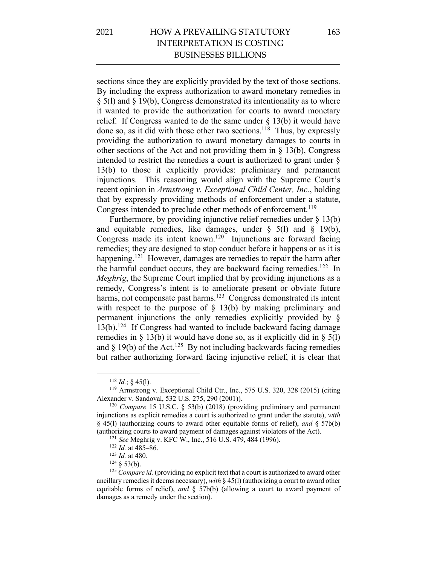# 2021 HOW A PREVAILING STATUTORY INTERPRETATION IS COSTING BUSINESSES BILLIONS

sections since they are explicitly provided by the text of those sections. By including the express authorization to award monetary remedies in § 5(l) and § 19(b), Congress demonstrated its intentionality as to where it wanted to provide the authorization for courts to award monetary relief. If Congress wanted to do the same under § 13(b) it would have done so, as it did with those other two sections.<sup>118</sup> Thus, by expressly providing the authorization to award monetary damages to courts in other sections of the Act and not providing them in § 13(b), Congress intended to restrict the remedies a court is authorized to grant under § 13(b) to those it explicitly provides: preliminary and permanent injunctions. This reasoning would align with the Supreme Court's recent opinion in *Armstrong v. Exceptional Child Center, Inc.*, holding that by expressly providing methods of enforcement under a statute, Congress intended to preclude other methods of enforcement.<sup>119</sup>

Furthermore, by providing injunctive relief remedies under § 13(b) and equitable remedies, like damages, under  $\S$  5(1) and  $\S$  19(b), Congress made its intent known.<sup>120</sup> Injunctions are forward facing remedies; they are designed to stop conduct before it happens or as it is happening.<sup>121</sup> However, damages are remedies to repair the harm after the harmful conduct occurs, they are backward facing remedies.<sup>122</sup> In *Meghrig*, the Supreme Court implied that by providing injunctions as a remedy, Congress's intent is to ameliorate present or obviate future harms, not compensate past harms.<sup>123</sup> Congress demonstrated its intent with respect to the purpose of  $\S$  13(b) by making preliminary and permanent injunctions the only remedies explicitly provided by §  $13(b)$ .<sup>124</sup> If Congress had wanted to include backward facing damage remedies in  $\S$  13(b) it would have done so, as it explicitly did in  $\S$  5(l) and § 19(b) of the Act.<sup>125</sup> By not including backwards facing remedies but rather authorizing forward facing injunctive relief, it is clear that

 $118$  *Id.*; § 45(1).

<sup>119</sup> Armstrong v. Exceptional Child Ctr., Inc., 575 U.S. 320, 328 (2015) (citing Alexander v. Sandoval, 532 U.S. 275, 290 (2001)).

<sup>120</sup> *Compare* 15 U.S.C. § 53(b) (2018) (providing preliminary and permanent injunctions as explicit remedies a court is authorized to grant under the statute), *with* § 45(l) (authorizing courts to award other equitable forms of relief), *and* § 57b(b) (authorizing courts to award payment of damages against violators of the Act).

<sup>121</sup> *See* Meghrig v. KFC W., Inc., 516 U.S. 479, 484 (1996).

<sup>122</sup> *Id.* at 485–86.

<sup>123</sup> *Id.* at 480.

 $124 \& 53(b).$ 

<sup>&</sup>lt;sup>125</sup> *Compare id.* (providing no explicit text that a court is authorized to award other ancillary remedies it deems necessary), *with* § 45(l) (authorizing a court to award other equitable forms of relief), *and* § 57b(b) (allowing a court to award payment of damages as a remedy under the section).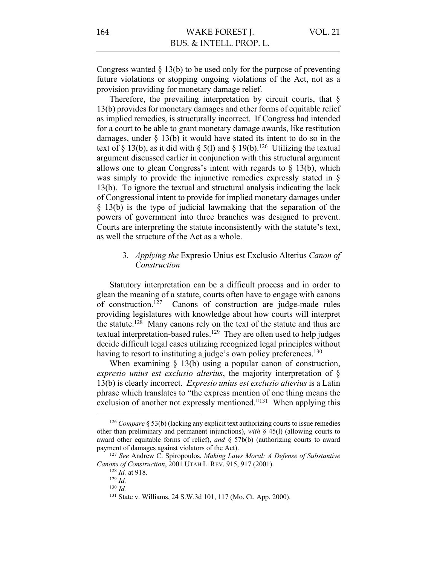Congress wanted  $\S 13(b)$  to be used only for the purpose of preventing future violations or stopping ongoing violations of the Act, not as a provision providing for monetary damage relief.

Therefore, the prevailing interpretation by circuit courts, that  $\delta$ 13(b) provides for monetary damages and other forms of equitable relief as implied remedies, is structurally incorrect. If Congress had intended for a court to be able to grant monetary damage awards, like restitution damages, under § 13(b) it would have stated its intent to do so in the text of § 13(b), as it did with § 5(1) and § 19(b).<sup>126</sup> Utilizing the textual argument discussed earlier in conjunction with this structural argument allows one to glean Congress's intent with regards to § 13(b), which was simply to provide the injunctive remedies expressly stated in § 13(b). To ignore the textual and structural analysis indicating the lack of Congressional intent to provide for implied monetary damages under § 13(b) is the type of judicial lawmaking that the separation of the powers of government into three branches was designed to prevent. Courts are interpreting the statute inconsistently with the statute's text, as well the structure of the Act as a whole.

### 3. *Applying the* Expresio Unius est Exclusio Alterius *Canon of Construction*

Statutory interpretation can be a difficult process and in order to glean the meaning of a statute, courts often have to engage with canons of construction.127 Canons of construction are judge-made rules providing legislatures with knowledge about how courts will interpret the statute.<sup>128</sup> Many canons rely on the text of the statute and thus are textual interpretation-based rules.<sup>129</sup> They are often used to help judges decide difficult legal cases utilizing recognized legal principles without having to resort to instituting a judge's own policy preferences.<sup>130</sup>

When examining § 13(b) using a popular canon of construction, *expresio unius est exclusio alterius*, the majority interpretation of § 13(b) is clearly incorrect. *Expresio unius est exclusio alterius* is a Latin phrase which translates to "the express mention of one thing means the exclusion of another not expressly mentioned."<sup>131</sup> When applying this

<sup>126</sup> *Compare* § 53(b) (lacking any explicit text authorizing courts to issue remedies other than preliminary and permanent injunctions), *with* § 45(l) (allowing courts to award other equitable forms of relief), *and* § 57b(b) (authorizing courts to award payment of damages against violators of the Act).

<sup>127</sup> *See* Andrew C. Spiropoulos, *Making Laws Moral: A Defense of Substantive Canons of Construction*, 2001 UTAH L. REV. 915, 917 (2001).

<sup>128</sup> *Id.* at 918.

<sup>129</sup> *Id.*

<sup>130</sup> *Id.*

<sup>131</sup> State v. Williams, 24 S.W.3d 101, 117 (Mo. Ct. App. 2000).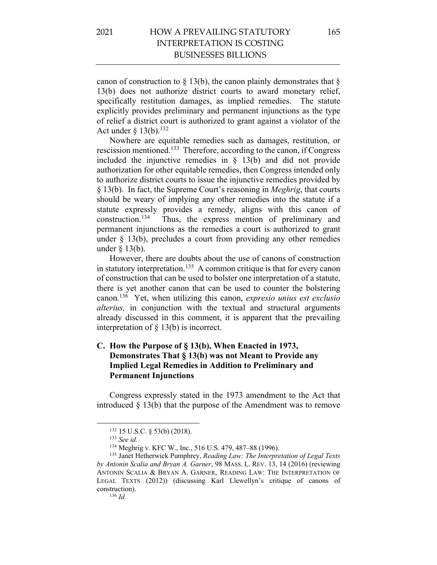canon of construction to  $\S$  13(b), the canon plainly demonstrates that  $\S$ 13(b) does not authorize district courts to award monetary relief, specifically restitution damages, as implied remedies. The statute explicitly provides preliminary and permanent injunctions as the type of relief a district court is authorized to grant against a violator of the Act under  $\S$  13(b).<sup>132</sup>

Nowhere are equitable remedies such as damages, restitution, or rescission mentioned.133 Therefore, according to the canon, if Congress included the injunctive remedies in § 13(b) and did not provide authorization for other equitable remedies, then Congress intended only to authorize district courts to issue the injunctive remedies provided by § 13(b). In fact, the Supreme Court's reasoning in *Meghrig*, that courts should be weary of implying any other remedies into the statute if a statute expressly provides a remedy, aligns with this canon of construction.134 Thus, the express mention of preliminary and permanent injunctions as the remedies a court is authorized to grant under  $\S$  13(b), precludes a court from providing any other remedies under § 13(b).

However, there are doubts about the use of canons of construction in statutory interpretation.<sup>135</sup> A common critique is that for every canon of construction that can be used to bolster one interpretation of a statute, there is yet another canon that can be used to counter the bolstering canon.136 Yet, when utilizing this canon, *expresio unius est exclusio alterius,* in conjunction with the textual and structural arguments already discussed in this comment, it is apparent that the prevailing interpretation of § 13(b) is incorrect.

### **C. How the Purpose of § 13(b), When Enacted in 1973, Demonstrates That § 13(b) was not Meant to Provide any Implied Legal Remedies in Addition to Preliminary and Permanent Injunctions**

Congress expressly stated in the 1973 amendment to the Act that introduced § 13(b) that the purpose of the Amendment was to remove

<sup>132</sup> 15 U.S.C. § 53(b) (2018).

<sup>133</sup> *See id.*

<sup>134</sup> Meghrig v. KFC W., Inc., 516 U.S. 479, 487–88 (1996).

<sup>135</sup> Janet Hetherwick Pumphrey, *Reading Law: The Interpretation of Legal Texts by Antonin Scalia and Bryan A. Garner*, 98 MASS. L. REV. 13, 14 (2016) (reviewing ANTONIN SCALIA & BRYAN A. GARNER, READING LAW: THE INTERPRETATION OF LEGAL TEXTS (2012)) (discussing Karl Llewellyn's critique of canons of construction).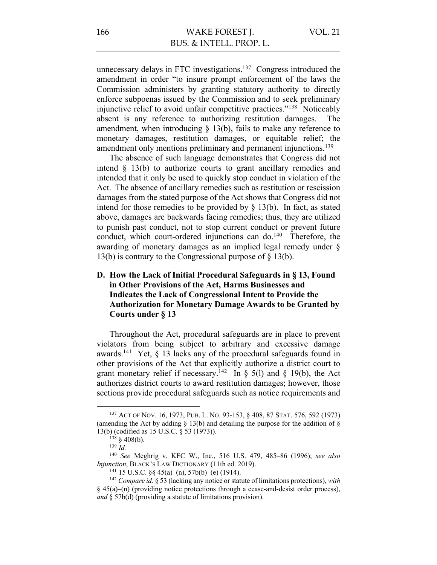unnecessary delays in FTC investigations.<sup>137</sup> Congress introduced the amendment in order "to insure prompt enforcement of the laws the Commission administers by granting statutory authority to directly enforce subpoenas issued by the Commission and to seek preliminary injunctive relief to avoid unfair competitive practices."138 Noticeably absent is any reference to authorizing restitution damages. The amendment, when introducing  $\S$  13(b), fails to make any reference to monetary damages, restitution damages, or equitable relief; the amendment only mentions preliminary and permanent injunctions.<sup>139</sup>

The absence of such language demonstrates that Congress did not intend  $\S$  13(b) to authorize courts to grant ancillary remedies and intended that it only be used to quickly stop conduct in violation of the Act. The absence of ancillary remedies such as restitution or rescission damages from the stated purpose of the Act shows that Congress did not intend for those remedies to be provided by  $\S$  13(b). In fact, as stated above, damages are backwards facing remedies; thus, they are utilized to punish past conduct, not to stop current conduct or prevent future conduct, which court-ordered injunctions can do.<sup>140</sup> Therefore, the awarding of monetary damages as an implied legal remedy under § 13(b) is contrary to the Congressional purpose of § 13(b).

### **D. How the Lack of Initial Procedural Safeguards in § 13, Found in Other Provisions of the Act, Harms Businesses and Indicates the Lack of Congressional Intent to Provide the Authorization for Monetary Damage Awards to be Granted by Courts under § 13**

Throughout the Act, procedural safeguards are in place to prevent violators from being subject to arbitrary and excessive damage awards.<sup>141</sup> Yet,  $\delta$  13 lacks any of the procedural safeguards found in other provisions of the Act that explicitly authorize a district court to grant monetary relief if necessary.<sup>142</sup> In  $\S$  5(1) and  $\S$  19(b), the Act authorizes district courts to award restitution damages; however, those sections provide procedural safeguards such as notice requirements and

<sup>137</sup> ACT OF NOV. 16, 1973, PUB. L. NO. 93-153, § 408, 87 STAT. 576, 592 (1973) (amending the Act by adding  $\S$  13(b) and detailing the purpose for the addition of  $\S$ 13(b) (codified as 15 U.S.C. § 53 (1973)).

 $138 \text{ } \frac{\text{ }}{\text{}}408(\text{b}).$ 

<sup>139</sup> *Id.*

<sup>140</sup> *See* Meghrig v. KFC W., Inc., 516 U.S. 479, 485–86 (1996); *see also Injunction*, BLACK'S LAW DICTIONARY (11th ed. 2019).

<sup>&</sup>lt;sup>141</sup> 15 U.S.C. §§ 45(a)–(n), 57b(b)–(e) (1914).

<sup>142</sup> *Compare id.* § 53 (lacking any notice or statute of limitations protections), *with*  § 45(a)–(n) (providing notice protections through a cease-and-desist order process), *and* § 57b(d) (providing a statute of limitations provision).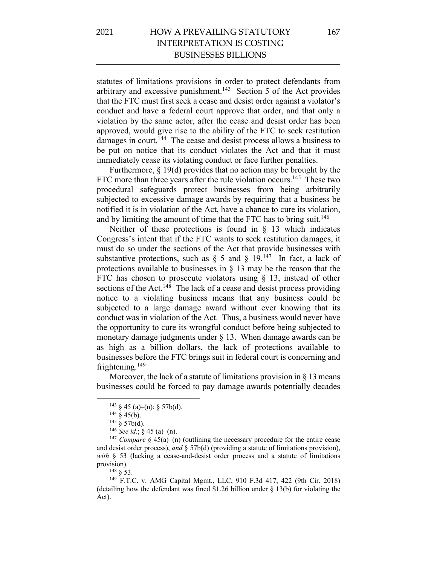statutes of limitations provisions in order to protect defendants from arbitrary and excessive punishment.<sup>143</sup> Section 5 of the Act provides that the FTC must first seek a cease and desist order against a violator's conduct and have a federal court approve that order, and that only a violation by the same actor, after the cease and desist order has been approved, would give rise to the ability of the FTC to seek restitution damages in court.<sup>144</sup> The cease and desist process allows a business to be put on notice that its conduct violates the Act and that it must immediately cease its violating conduct or face further penalties.

Furthermore, § 19(d) provides that no action may be brought by the FTC more than three years after the rule violation occurs.<sup>145</sup> These two procedural safeguards protect businesses from being arbitrarily subjected to excessive damage awards by requiring that a business be notified it is in violation of the Act, have a chance to cure its violation, and by limiting the amount of time that the FTC has to bring suit.<sup>146</sup>

Neither of these protections is found in  $\S$  13 which indicates Congress's intent that if the FTC wants to seek restitution damages, it must do so under the sections of the Act that provide businesses with substantive protections, such as  $\S$  5 and  $\S$  19.<sup>147</sup> In fact, a lack of protections available to businesses in  $\S$  13 may be the reason that the FTC has chosen to prosecute violators using § 13, instead of other sections of the Act.<sup>148</sup> The lack of a cease and desist process providing notice to a violating business means that any business could be subjected to a large damage award without ever knowing that its conduct was in violation of the Act. Thus, a business would never have the opportunity to cure its wrongful conduct before being subjected to monetary damage judgments under § 13. When damage awards can be as high as a billion dollars, the lack of protections available to businesses before the FTC brings suit in federal court is concerning and frightening. $149$ 

Moreover, the lack of a statute of limitations provision in  $\S 13$  means businesses could be forced to pay damage awards potentially decades

<sup>148</sup> § 53.

 $143 \S 45$  (a)–(n);  $\S 57b(d)$ .

 $144 \frac{8}{9}$  45(b).

 $145 \S 57b(d)$ .

<sup>146</sup> *See id.*; § 45 (a)–(n).

<sup>&</sup>lt;sup>147</sup> *Compare* § 45(a)–(n) (outlining the necessary procedure for the entire cease and desist order process), *and* § 57b(d) (providing a statute of limitations provision), *with* § 53 (lacking a cease-and-desist order process and a statute of limitations provision).

<sup>149</sup> F.T.C. v. AMG Capital Mgmt., LLC, 910 F.3d 417, 422 (9th Cir. 2018) (detailing how the defendant was fined \$1.26 billion under § 13(b) for violating the Act).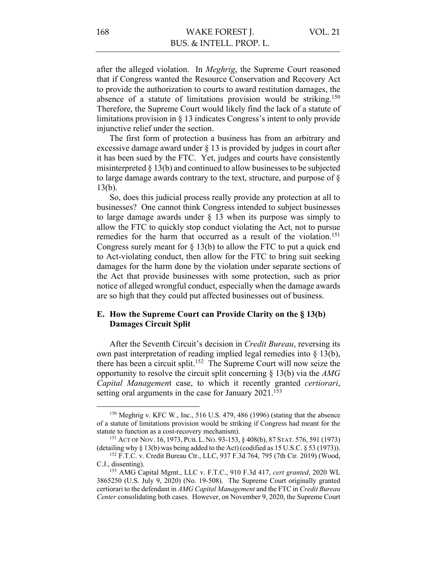after the alleged violation. In *Meghrig*, the Supreme Court reasoned that if Congress wanted the Resource Conservation and Recovery Act to provide the authorization to courts to award restitution damages, the absence of a statute of limitations provision would be striking.<sup>150</sup> Therefore, the Supreme Court would likely find the lack of a statute of limitations provision in § 13 indicates Congress's intent to only provide injunctive relief under the section.

The first form of protection a business has from an arbitrary and excessive damage award under § 13 is provided by judges in court after it has been sued by the FTC. Yet, judges and courts have consistently misinterpreted § 13(b) and continued to allow businesses to be subjected to large damage awards contrary to the text, structure, and purpose of § 13(b).

So, does this judicial process really provide any protection at all to businesses? One cannot think Congress intended to subject businesses to large damage awards under § 13 when its purpose was simply to allow the FTC to quickly stop conduct violating the Act, not to pursue remedies for the harm that occurred as a result of the violation.<sup>151</sup> Congress surely meant for § 13(b) to allow the FTC to put a quick end to Act-violating conduct, then allow for the FTC to bring suit seeking damages for the harm done by the violation under separate sections of the Act that provide businesses with some protection, such as prior notice of alleged wrongful conduct, especially when the damage awards are so high that they could put affected businesses out of business.

### **E. How the Supreme Court can Provide Clarity on the § 13(b) Damages Circuit Split**

After the Seventh Circuit's decision in *Credit Bureau*, reversing its own past interpretation of reading implied legal remedies into § 13(b), there has been a circuit split. 152 The Supreme Court will now seize the opportunity to resolve the circuit split concerning § 13(b) via the *AMG Capital Managemen*t case, to which it recently granted *certiorari*, setting oral arguments in the case for January 2021.<sup>153</sup>

<sup>150</sup> Meghrig v. KFC W., Inc., 516 U.S. 479, 486 (1996) (stating that the absence of a statute of limitations provision would be striking if Congress had meant for the statute to function as a cost-recovery mechanism).

<sup>151</sup> ACT OF NOV. 16, 1973, PUB.L. NO. 93-153, § 408(b), 87 STAT. 576, 591 (1973) (detailing why § 13(b) was being added to the Act) (codified as 15 U.S.C. § 53 (1973)).

<sup>152</sup> F.T.C. v. Credit Bureau Ctr., LLC, 937 F.3d 764, 795 (7th Cir. 2019) (Wood, C.J., dissenting).

<sup>153</sup> AMG Capital Mgmt., LLC v. F.T.C., 910 F.3d 417, *cert granted*, 2020 WL 3865250 (U.S. July 9, 2020) (No. 19-508). The Supreme Court originally granted certiorari to the defendant in *AMG Capital Management* and the FTC in *Credit Bureau Center* consolidating both cases. However, on November 9, 2020, the Supreme Court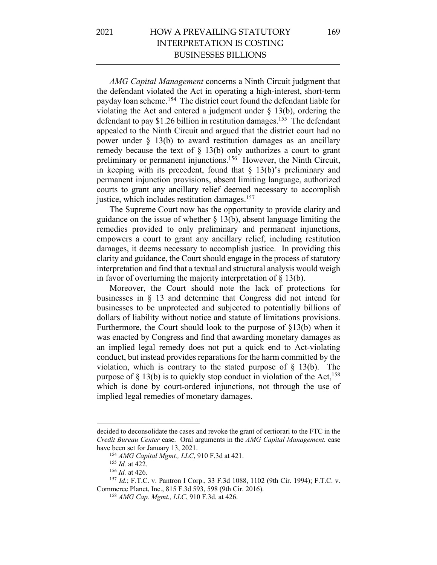## 2021 HOW A PREVAILING STATUTORY INTERPRETATION IS COSTING BUSINESSES BILLIONS

*AMG Capital Management* concerns a Ninth Circuit judgment that the defendant violated the Act in operating a high-interest, short-term payday loan scheme.154 The district court found the defendant liable for violating the Act and entered a judgment under  $\S$  13(b), ordering the defendant to pay \$1.26 billion in restitution damages.<sup>155</sup> The defendant appealed to the Ninth Circuit and argued that the district court had no power under § 13(b) to award restitution damages as an ancillary remedy because the text of  $\S$  13(b) only authorizes a court to grant preliminary or permanent injunctions.<sup>156</sup> However, the Ninth Circuit, in keeping with its precedent, found that  $\S$  13(b)'s preliminary and permanent injunction provisions, absent limiting language, authorized courts to grant any ancillary relief deemed necessary to accomplish justice, which includes restitution damages.<sup>157</sup>

The Supreme Court now has the opportunity to provide clarity and guidance on the issue of whether  $\S$  13(b), absent language limiting the remedies provided to only preliminary and permanent injunctions, empowers a court to grant any ancillary relief, including restitution damages, it deems necessary to accomplish justice. In providing this clarity and guidance, the Court should engage in the process of statutory interpretation and find that a textual and structural analysis would weigh in favor of overturning the majority interpretation of  $\S 13(b)$ .

Moreover, the Court should note the lack of protections for businesses in § 13 and determine that Congress did not intend for businesses to be unprotected and subjected to potentially billions of dollars of liability without notice and statute of limitations provisions. Furthermore, the Court should look to the purpose of §13(b) when it was enacted by Congress and find that awarding monetary damages as an implied legal remedy does not put a quick end to Act-violating conduct, but instead provides reparations for the harm committed by the violation, which is contrary to the stated purpose of  $\S$  13(b). The purpose of  $\S$  13(b) is to quickly stop conduct in violation of the Act,<sup>158</sup> which is done by court-ordered injunctions, not through the use of implied legal remedies of monetary damages.

decided to deconsolidate the cases and revoke the grant of certiorari to the FTC in the *Credit Bureau Center* case. Oral arguments in the *AMG Capital Management.* case have been set for January 13, 2021.

<sup>154</sup> *AMG Capital Mgmt., LLC*, 910 F.3d at 421.

<sup>155</sup> *Id.* at 422.

<sup>156</sup> *Id.* at 426.

<sup>157</sup> *Id.*; F.T.C. v. Pantron I Corp., 33 F.3d 1088, 1102 (9th Cir. 1994); F.T.C. v. Commerce Planet, Inc., 815 F.3d 593, 598 (9th Cir. 2016).

<sup>158</sup> *AMG Cap. Mgmt., LLC*, 910 F.3d. at 426.